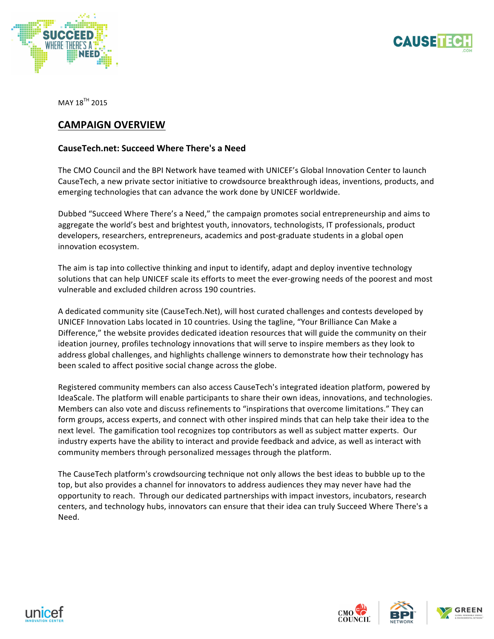



MAY 18<sup>TH</sup> 2015

## **CAMPAIGN OVERVIEW**

## **CauseTech.net: Succeed Where There's a Need**

The CMO Council and the BPI Network have teamed with UNICEF's Global Innovation Center to launch CauseTech, a new private sector initiative to crowdsource breakthrough ideas, inventions, products, and emerging technologies that can advance the work done by UNICEF worldwide.

Dubbed "Succeed Where There's a Need," the campaign promotes social entrepreneurship and aims to aggregate the world's best and brightest youth, innovators, technologists, IT professionals, product developers, researchers, entrepreneurs, academics and post-graduate students in a global open innovation ecosystem.

The aim is tap into collective thinking and input to identify, adapt and deploy inventive technology solutions that can help UNICEF scale its efforts to meet the ever-growing needs of the poorest and most vulnerable and excluded children across 190 countries.

A dedicated community site (CauseTech.Net), will host curated challenges and contests developed by UNICEF Innovation Labs located in 10 countries. Using the tagline, "Your Brilliance Can Make a Difference," the website provides dedicated ideation resources that will guide the community on their ideation journey, profiles technology innovations that will serve to inspire members as they look to address global challenges, and highlights challenge winners to demonstrate how their technology has been scaled to affect positive social change across the globe.

Registered community members can also access CauseTech's integrated ideation platform, powered by IdeaScale. The platform will enable participants to share their own ideas, innovations, and technologies. Members can also vote and discuss refinements to "inspirations that overcome limitations." They can form groups, access experts, and connect with other inspired minds that can help take their idea to the next level. The gamification tool recognizes top contributors as well as subject matter experts. Our industry experts have the ability to interact and provide feedback and advice, as well as interact with community members through personalized messages through the platform.

The CauseTech platform's crowdsourcing technique not only allows the best ideas to bubble up to the top, but also provides a channel for innovators to address audiences they may never have had the opportunity to reach. Through our dedicated partnerships with impact investors, incubators, research centers, and technology hubs, innovators can ensure that their idea can truly Succeed Where There's a Need.